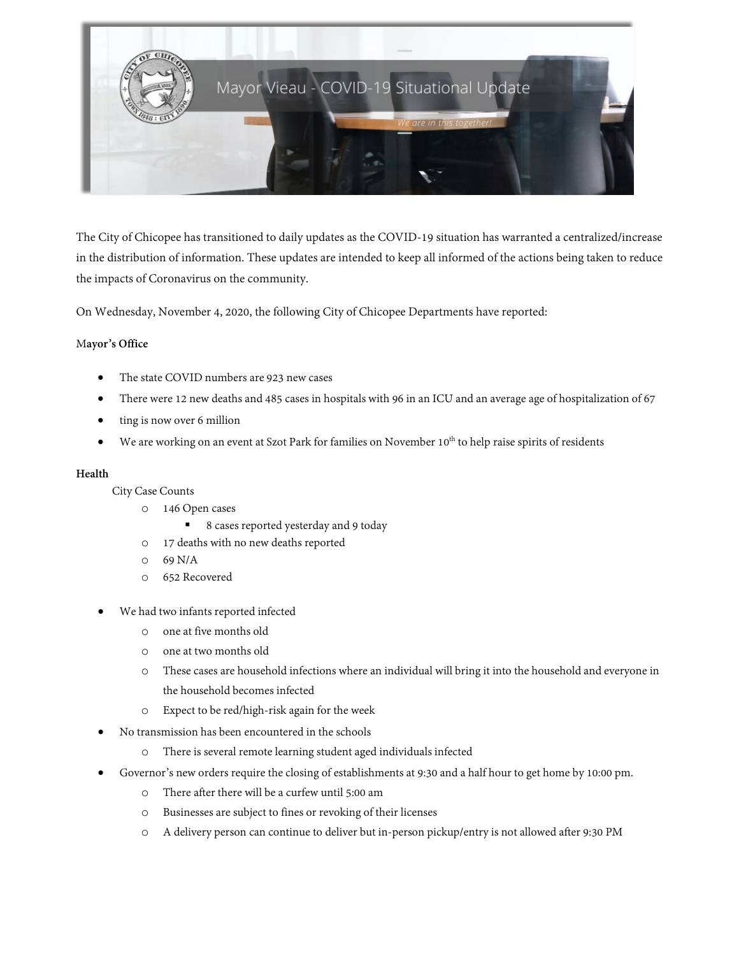

The City of Chicopee has transitioned to daily updates as the COVID-19 situation has warranted a centralized/increase in the distribution of information. These updates are intended to keep all informed of the actions being taken to reduce the impacts of Coronavirus on the community.

On Wednesday, November 4, 2020, the following City of Chicopee Departments have reported:

# M**ayor's Office**

- The state COVID numbers are 923 new cases
- There were 12 new deaths and 485 cases in hospitals with 96 in an ICU and an average age of hospitalization of 67
- ting is now over 6 million
- We are working on an event at Szot Park for families on November 10<sup>th</sup> to help raise spirits of residents

# **Health**

City Case Counts

- o 146 Open cases
	- 8 cases reported yesterday and 9 today
- o 17 deaths with no new deaths reported
- o 69 N/A
- o 652 Recovered
- We had two infants reported infected
	- o one at five months old
	- o one at two months old
	- o These cases are household infections where an individual will bring it into the household and everyone in the household becomes infected
	- o Expect to be red/high-risk again for the week
- No transmission has been encountered in the schools
	- o There is several remote learning student aged individuals infected
- Governor's new orders require the closing of establishments at 9:30 and a half hour to get home by 10:00 pm.
	- o There after there will be a curfew until 5:00 am
	- o Businesses are subject to fines or revoking of their licenses
	- o A delivery person can continue to deliver but in-person pickup/entry is not allowed after 9:30 PM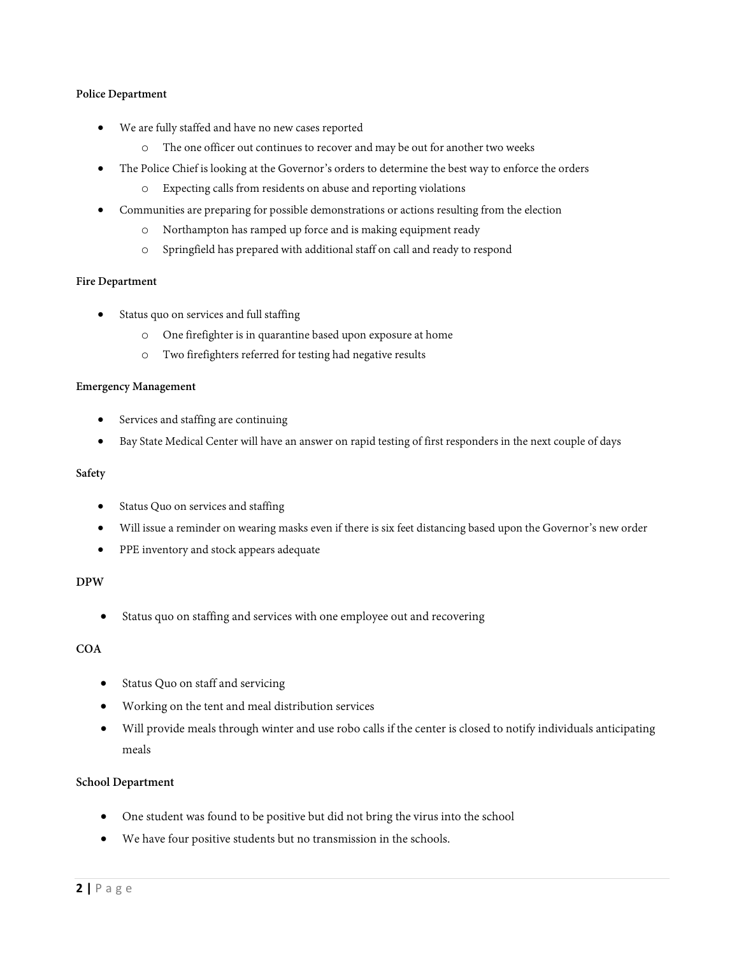# **Police Department**

- We are fully staffed and have no new cases reported
	- o The one officer out continues to recover and may be out for another two weeks
- The Police Chief is looking at the Governor's orders to determine the best way to enforce the orders
	- o Expecting calls from residents on abuse and reporting violations
- Communities are preparing for possible demonstrations or actions resulting from the election
	- o Northampton has ramped up force and is making equipment ready
	- o Springfield has prepared with additional staff on call and ready to respond

# **Fire Department**

- Status quo on services and full staffing
	- o One firefighter is in quarantine based upon exposure at home
	- o Two firefighters referred for testing had negative results

# **Emergency Management**

- Services and staffing are continuing
- Bay State Medical Center will have an answer on rapid testing of first responders in the next couple of days

# **Safety**

- Status Quo on services and staffing
- Will issue a reminder on wearing masks even if there is six feet distancing based upon the Governor's new order
- PPE inventory and stock appears adequate

# **DPW**

Status quo on staffing and services with one employee out and recovering

# **COA**

- Status Quo on staff and servicing
- Working on the tent and meal distribution services
- Will provide meals through winter and use robo calls if the center is closed to notify individuals anticipating meals

# **School Department**

- One student was found to be positive but did not bring the virus into the school
- We have four positive students but no transmission in the schools.